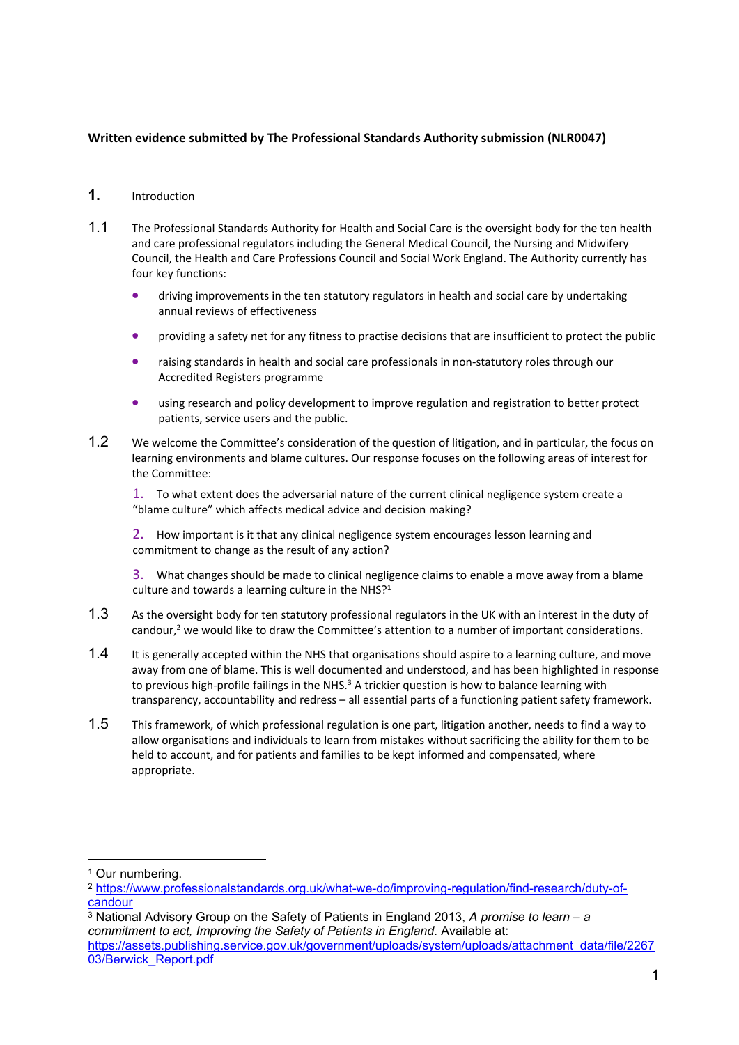# **Written evidence submitted by The Professional Standards Authority submission (NLR0047)**

## **1.** Introduction

- 1.1 The Professional Standards Authority for Health and Social Care is the oversight body for the ten health and care professional regulators including the General Medical Council, the Nursing and Midwifery Council, the Health and Care Professions Council and Social Work England. The Authority currently has four key functions:
	- driving improvements in the ten statutory regulators in health and social care by undertaking annual reviews of effectiveness
	- providing a safety net for any fitness to practise decisions that are insufficient to protect the public
	- raising standards in health and social care professionals in non-statutory roles through our Accredited Registers programme
	- using research and policy development to improve regulation and registration to better protect patients, service users and the public.
- 1.2 We welcome the Committee's consideration of the question of litigation, and in particular, the focus on learning environments and blame cultures. Our response focuses on the following areas of interest for the Committee:

1. To what extent does the adversarial nature of the current clinical negligence system create a "blame culture" which affects medical advice and decision making?

2. How important is it that any clinical negligence system encourages lesson learning and commitment to change as the result of any action?

3. What changes should be made to clinical negligence claims to enable a move away from a blame culture and towards a learning culture in the NHS?<sup>1</sup>

- 1.3 As the oversight body for ten statutory professional regulators in the UK with an interest in the duty of candour,<sup>2</sup> we would like to draw the Committee's attention to a number of important considerations.
- 1.4 It is generally accepted within the NHS that organisations should aspire to a learning culture, and move away from one of blame. This is well documented and understood, and has been highlighted in response to previous high-profile failings in the NHS.<sup>3</sup> A trickier question is how to balance learning with transparency, accountability and redress – all essential parts of a functioning patient safety framework.
- 1.5 This framework, of which professional regulation is one part, litigation another, needs to find a way to allow organisations and individuals to learn from mistakes without sacrificing the ability for them to be held to account, and for patients and families to be kept informed and compensated, where appropriate.

<sup>&</sup>lt;sup>1</sup> Our numbering.

<sup>2</sup> [https://www.professionalstandards.org.uk/what-we-do/improving-regulation/find-research/duty-of](https://www.professionalstandards.org.uk/what-we-do/improving-regulation/find-research/duty-of-candour)[candour](https://www.professionalstandards.org.uk/what-we-do/improving-regulation/find-research/duty-of-candour)

<sup>3</sup> National Advisory Group on the Safety of Patients in England 2013, *A promise to learn – a commitment to act, Improving the Safety of Patients in England*. Available at: [https://assets.publishing.service.gov.uk/government/uploads/system/uploads/attachment\\_data/file/2267](https://assets.publishing.service.gov.uk/government/uploads/system/uploads/attachment_data/file/226703/Berwick_Report.pdf) [03/Berwick\\_Report.pdf](https://assets.publishing.service.gov.uk/government/uploads/system/uploads/attachment_data/file/226703/Berwick_Report.pdf)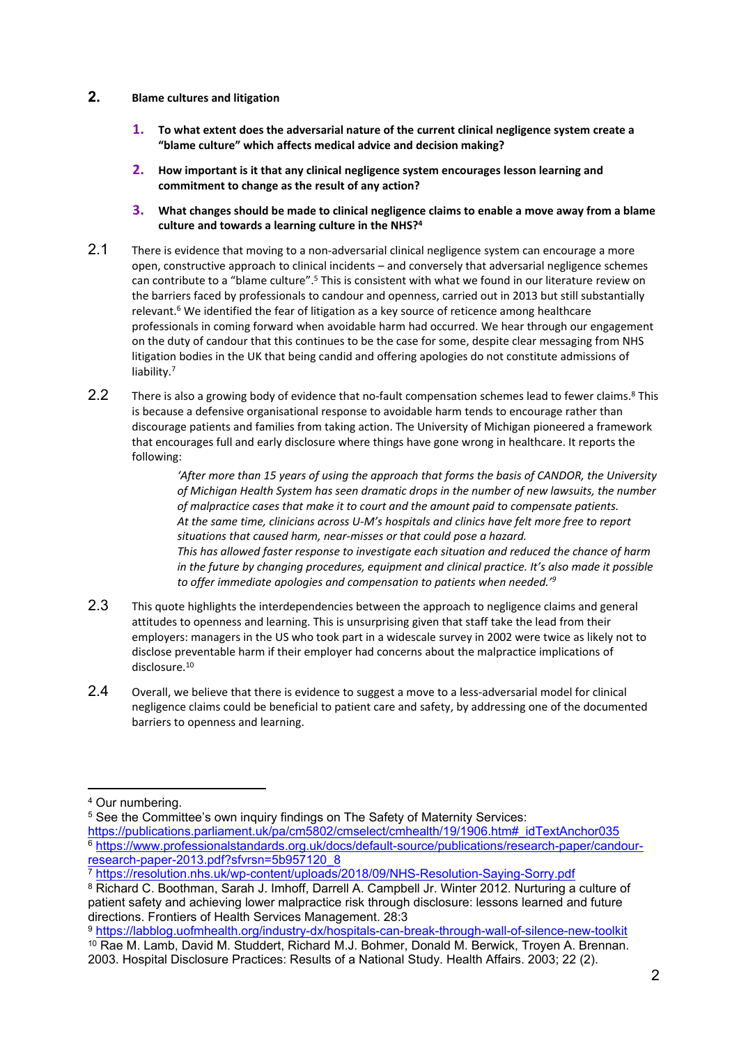#### **2. Blame cultures and litigation**

- **1. To what extent does the adversarial nature of the current clinical negligence system create a "blame culture" which affects medical advice and decision making?**
- **2. How important is it that any clinical negligence system encourages lesson learning and commitment to change as the result of any action?**
- **3. What changes should be made to clinical negligence claims to enable a move away from a blame culture and towards a learning culture in the NHS?<sup>4</sup>**
- 2.1 There is evidence that moving to a non-adversarial clinical negligence system can encourage a more open, constructive approach to clinical incidents – and conversely that adversarial negligence schemes can contribute to a "blame culture".<sup>5</sup> This is consistent with what we found in our literature review on the barriers faced by professionals to candour and openness, carried out in 2013 but still substantially relevant.<sup>6</sup> We identified the fear of litigation as a key source of reticence among healthcare professionals in coming forward when avoidable harm had occurred. We hear through our engagement on the duty of candour that this continues to be the case for some, despite clear messaging from NHS litigation bodies in the UK that being candid and offering apologies do not constitute admissions of liability.<sup>7</sup>
- 2.2 There is also a growing body of evidence that no-fault compensation schemes lead to fewer claims.<sup>8</sup> This is because a defensive organisational response to avoidable harm tends to encourage rather than discourage patients and families from taking action. The University of Michigan pioneered a framework that encourages full and early disclosure where things have gone wrong in healthcare. It reports the following:

*'After more than 15 years of using the approach that forms the basis of CANDOR, the University of Michigan Health System has seen dramatic drops in the number of new lawsuits, the number of malpractice cases that make it to court and the amount paid to compensate patients. At the same time, clinicians across U-M's hospitals and clinics have felt more free to report situations that caused harm, near-misses or that could pose a hazard. This has allowed faster response to investigate each situation and reduced the chance of harm in the future by changing procedures, equipment and clinical practice. It's also made it possible to offer immediate apologies and compensation to patients when needed.'<sup>9</sup>*

- 2.3 This quote highlights the interdependencies between the approach to negligence claims and general attitudes to openness and learning. This is unsurprising given that staff take the lead from their employers: managers in the US who took part in a widescale survey in 2002 were twice as likely not to disclose preventable harm if their employer had concerns about the malpractice implications of disclosure.<sup>10</sup>
- 2.4 Overall, we believe that there is evidence to suggest a move to a less-adversarial model for clinical negligence claims could be beneficial to patient care and safety, by addressing one of the documented barriers to openness and learning.

<sup>4</sup> Our numbering.

<sup>&</sup>lt;sup>5</sup> See the Committee's own inquiry findings on The Safety of Maternity Services:

[https://publications.parliament.uk/pa/cm5802/cmselect/cmhealth/19/1906.htm#\\_idTextAnchor035](https://publications.parliament.uk/pa/cm5802/cmselect/cmhealth/19/1906.htm#_idTextAnchor035) <sup>6</sup> [https://www.professionalstandards.org.uk/docs/default-source/publications/research-paper/candour](https://www.professionalstandards.org.uk/docs/default-source/publications/research-paper/candour-research-paper-2013.pdf?sfvrsn=5b957120_8)[research-paper-2013.pdf?sfvrsn=5b957120\\_8](https://www.professionalstandards.org.uk/docs/default-source/publications/research-paper/candour-research-paper-2013.pdf?sfvrsn=5b957120_8)

<sup>7</sup> <https://resolution.nhs.uk/wp-content/uploads/2018/09/NHS-Resolution-Saying-Sorry.pdf>

<sup>8</sup> Richard C. Boothman, Sarah J. Imhoff, Darrell A. Campbell Jr. Winter 2012. Nurturing a culture of patient safety and achieving lower malpractice risk through disclosure: lessons learned and future directions. Frontiers of Health Services Management. 28:3

<sup>9</sup> <https://labblog.uofmhealth.org/industry-dx/hospitals-can-break-through-wall-of-silence-new-toolkit> <sup>10</sup> Rae M. Lamb, David M. Studdert, Richard M.J. Bohmer, Donald M. Berwick, Troyen A. Brennan. 2003. Hospital Disclosure Practices: Results of a National Study. Health Affairs. 2003; 22 (2).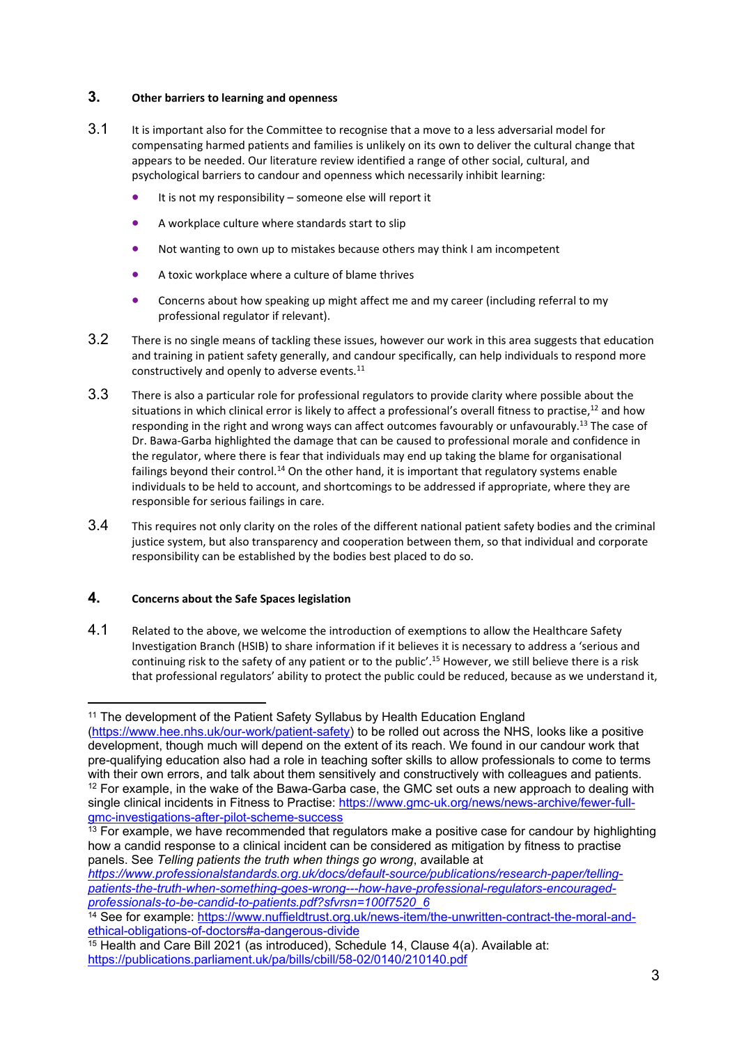## **3. Other barriers to learning and openness**

- 3.1 It is important also for the Committee to recognise that a move to a less adversarial model for compensating harmed patients and families is unlikely on its own to deliver the cultural change that appears to be needed. Our literature review identified a range of other social, cultural, and psychological barriers to candour and openness which necessarily inhibit learning:
	- $\bullet$  It is not my responsibility someone else will report it
	- A workplace culture where standards start to slip
	- Not wanting to own up to mistakes because others may think I am incompetent
	- A toxic workplace where a culture of blame thrives
	- Concerns about how speaking up might affect me and my career (including referral to my professional regulator if relevant).
- 3.2 There is no single means of tackling these issues, however our work in this area suggests that education and training in patient safety generally, and candour specifically, can help individuals to respond more constructively and openly to adverse events.<sup>11</sup>
- 3.3 There is also a particular role for professional regulators to provide clarity where possible about the situations in which clinical error is likely to affect a professional's overall fitness to practise,<sup>12</sup> and how responding in the right and wrong ways can affect outcomes favourably or unfavourably.<sup>13</sup> The case of Dr. Bawa-Garba highlighted the damage that can be caused to professional morale and confidence in the regulator, where there is fear that individuals may end up taking the blame for organisational failings beyond their control.<sup>14</sup> On the other hand, it is important that regulatory systems enable individuals to be held to account, and shortcomings to be addressed if appropriate, where they are responsible for serious failings in care.
- 3.4 This requires not only clarity on the roles of the different national patient safety bodies and the criminal justice system, but also transparency and cooperation between them, so that individual and corporate responsibility can be established by the bodies best placed to do so.

# **4. Concerns about the Safe Spaces legislation**

4.1 Related to the above, we welcome the introduction of exemptions to allow the Healthcare Safety Investigation Branch (HSIB) to share information if it believes it is necessary to address a 'serious and continuing risk to the safety of any patient or to the public'.<sup>15</sup> However, we still believe there is a risk that professional regulators' ability to protect the public could be reduced, because as we understand it,

<sup>&</sup>lt;sup>11</sup> The development of the Patient Safety Syllabus by Health Education England [\(https://www.hee.nhs.uk/our-work/patient-safety\)](https://www.hee.nhs.uk/our-work/patient-safety) to be rolled out across the NHS, looks like a positive development, though much will depend on the extent of its reach. We found in our candour work that pre-qualifying education also had a role in teaching softer skills to allow professionals to come to terms with their own errors, and talk about them sensitively and constructively with colleagues and patients.  $12$  For example, in the wake of the Bawa-Garba case, the GMC set outs a new approach to dealing with single clinical incidents in Fitness to Practise: [https://www.gmc-uk.org/news/news-archive/fewer-full](https://www.gmc-uk.org/news/news-archive/fewer-full-gmc-investigations-after-pilot-scheme-success)[gmc-investigations-after-pilot-scheme-success](https://www.gmc-uk.org/news/news-archive/fewer-full-gmc-investigations-after-pilot-scheme-success)

<sup>&</sup>lt;sup>13</sup> For example, we have recommended that regulators make a positive case for candour by highlighting how a candid response to a clinical incident can be considered as mitigation by fitness to practise panels. See *Telling patients the truth when things go wrong*, available at

*[https://www.professionalstandards.org.uk/docs/default-source/publications/research-paper/telling](https://www.professionalstandards.org.uk/docs/default-source/publications/research-paper/telling-patients-the-truth-when-something-goes-wrong---how-have-professional-regulators-encouraged-professionals-to-be-candid-to-patients.pdf?sfvrsn=100f7520_6)[patients-the-truth-when-something-goes-wrong---how-have-professional-regulators-encouraged](https://www.professionalstandards.org.uk/docs/default-source/publications/research-paper/telling-patients-the-truth-when-something-goes-wrong---how-have-professional-regulators-encouraged-professionals-to-be-candid-to-patients.pdf?sfvrsn=100f7520_6)[professionals-to-be-candid-to-patients.pdf?sfvrsn=100f7520\\_6](https://www.professionalstandards.org.uk/docs/default-source/publications/research-paper/telling-patients-the-truth-when-something-goes-wrong---how-have-professional-regulators-encouraged-professionals-to-be-candid-to-patients.pdf?sfvrsn=100f7520_6)*

<sup>14</sup> See for example: [https://www.nuffieldtrust.org.uk/news-item/the-unwritten-contract-the-moral-and](https://www.nuffieldtrust.org.uk/news-item/the-unwritten-contract-the-moral-and-ethical-obligations-of-doctors#a-dangerous-divide)[ethical-obligations-of-doctors#a-dangerous-divide](https://www.nuffieldtrust.org.uk/news-item/the-unwritten-contract-the-moral-and-ethical-obligations-of-doctors#a-dangerous-divide)

<sup>15</sup> Health and Care Bill 2021 (as introduced), Schedule 14, Clause 4(a). Available at: <https://publications.parliament.uk/pa/bills/cbill/58-02/0140/210140.pdf>